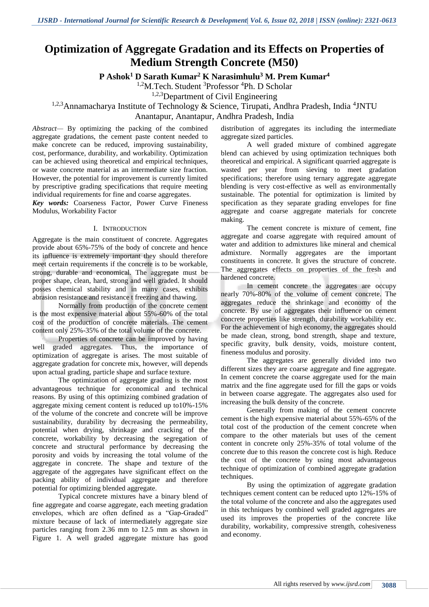# **Optimization of Aggregate Gradation and its Effects on Properties of Medium Strength Concrete (M50)**

**P Ashok<sup>1</sup> D Sarath Kumar<sup>2</sup> K Narasimhulu<sup>3</sup> M. Prem Kumar<sup>4</sup>**

<sup>1,2</sup>M.Tech. Student <sup>3</sup>Professor <sup>4</sup>Ph. D Scholar

<sup>1,2,3</sup>Department of Civil Engineering

<sup>1,2,3</sup>Annamacharya Institute of Technology & Science, Tirupati, Andhra Pradesh, India <sup>4</sup>JNTU

Anantapur, Anantapur, Andhra Pradesh, India

*Abstract—* By optimizing the packing of the combined aggregate gradations, the cement paste content needed to make concrete can be reduced, improving sustainability, cost, performance, durability, and workability. Optimization can be achieved using theoretical and empirical techniques, or waste concrete material as an intermediate size fraction. However, the potential for improvement is currently limited by prescriptive grading specifications that require meeting individual requirements for fine and coarse aggregates.

*Key words:* Coarseness Factor, Power Curve Fineness Modulus, Workability Factor

## I. INTRODUCTION

Aggregate is the main constituent of concrete. Aggregates provide about 65%-75% of the body of concrete and hence its influence is extremely important they should therefore meet certain requirements if the concrete is to be workable, strong, durable and economical. The aggregate must be proper shape, clean, hard, strong and well graded. It should posses chemical stability and in many cases, exhibits abrasion resistance and resistance t freezing and thawing.

Normally from production of the concrete cement is the most expensive material about 55%-60% of the total cost of the production of concrete materials. The cement content only 25%-35% of the total volume of the concrete.

Properties of concrete can be improved by having well graded aggregates. Thus, the importance of optimization of aggregate is arises. The most suitable of aggregate gradation for concrete mix, however, will depends upon actual grading, particle shape and surface texture.

The optimization of aggregate grading is the most advantageous technique for economical and technical reasons. By using of this optimizing combined gradation of aggregate mixing cement content is reduced up to10%-15% of the volume of the concrete and concrete will be improve sustainability, durability by decreasing the permeability, potential when drying, shrinkage and cracking of the concrete, workability by decreasing the segregation of concrete and structural performance by decreasing the porosity and voids by increasing the total volume of the aggregate in concrete. The shape and texture of the aggregate of the aggregates have significant effect on the packing ability of individual aggregate and therefore potential for optimizing blended aggregate.

Typical concrete mixtures have a binary blend of fine aggregate and coarse aggregate, each meeting gradation envelopes, which are often defined as a "Gap-Graded" mixture because of lack of intermediately aggregate size particles ranging from 2.36 mm to 12.5 mm as shown in Figure 1. A well graded aggregate mixture has good

distribution of aggregates its including the intermediate aggregate sized particles.

A well graded mixture of combined aggregate blend can achieved by using optimization techniques both theoretical and empirical. A significant quarried aggregate is wasted per year from sieving to meet gradation specifications; therefore using ternary aggregate aggregate blending is very cost-effective as well as environmentally sustainable. The potential for optimization is limited by specification as they separate grading envelopes for fine aggregate and coarse aggregate materials for concrete making.

The cement concrete is mixture of cement, fine aggregate and coarse aggregate with required amount of water and addition to admixtures like mineral and chemical admixture. Normally aggregates are the important constituents in concrete. It gives the structure of concrete. The aggregates effects on properties of the fresh and hardened concrete.

In cement concrete the aggregates are occupy nearly 70%-80% of the volume of cement concrete. The aggregates reduce the shrinkage and economy of the concrete. By use of aggregates their influence on cement concrete properties like strength, durability workability etc. For the achievement of high economy, the aggregates should be made clean, strong, bond strength, shape and texture, specific gravity, bulk density, voids, moisture content, fineness modulus and porosity.

The aggregates are generally divided into two different sizes they are coarse aggregate and fine aggregate. In cement concrete the coarse aggregate used for the main matrix and the fine aggregate used for fill the gaps or voids in between coarse aggregate. The aggregates also used for increasing the bulk density of the concrete.

Generally from making of the cement concrete cement is the high expensive material about 55%-65% of the total cost of the production of the cement concrete when compare to the other materials but uses of the cement content in concrete only 25%-35% of total volume of the concrete due to this reason the concrete cost is high. Reduce the cost of the concrete by using most advantageous technique of optimization of combined aggregate gradation techniques.

By using the optimization of aggregate gradation techniques cement content can be reduced upto 12%-15% of the total volume of the concrete and also the aggregates used in this techniques by combined well graded aggregates are used its improves the properties of the concrete like durability, workability, compressive strength, cohesiveness and economy.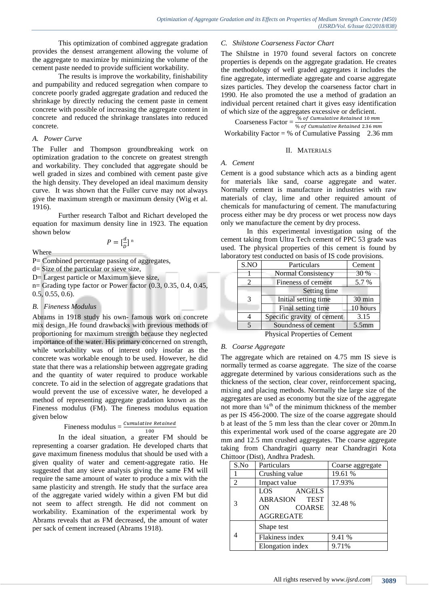This optimization of combined aggregate gradation provides the densest arrangement allowing the volume of the aggregate to maximize by minimizing the volume of the cement paste needed to provide sufficient workability.

The results is improve the workability, finishability and pumpability and reduced segregation when compare to concrete poorly graded aggregate gradation and reduced the shrinkage by directly reducing the cement paste in cement concrete with possible of increasing the aggregate content in concrete and reduced the shrinkage translates into reduced concrete.

#### *A. Power Curve*

The Fuller and Thompson groundbreaking work on optimization gradation to the concrete on greatest strength and workability. They concluded that aggregate should be well graded in sizes and combined with cement paste give the high density. They developed an ideal maximum density curve. It was shown that the Fuller curve may not always give the maximum strength or maximum density (Wig et al. 1916).

Further research Talbot and Richart developed the equation for maximum density line in 1923. The equation shown below

$$
P = \left[\frac{d}{D}\right]^{\mathrm{n}}
$$

Where

P= Combined percentage passing of aggregates,

d= Size of the particular or sieve size,

D= Largest particle or Maximum sieve size,

 $n=$  Grading type factor or Power factor  $(0.3, 0.35, 0.4, 0.45,$ 0.5, 0.55, 0.6).

#### *B. Fineness Modulus*

Abrams in 1918 study his own- famous work on concrete mix design. He found drawbacks with previous methods of proportioning for maximum strength because they neglected importance of the water. His primary concerned on strength, while workability was of interest only insofar as the concrete was workable enough to be used. However, he did state that there was a relationship between aggregate grading and the quantity of water required to produce workable concrete. To aid in the selection of aggregate gradations that would prevent the use of excessive water, he developed a method of representing aggregate gradation known as the Fineness modulus (FM). The fineness modulus equation given below

$$
Fineness modulus = \frac{Cumulative \ Retained}{100}
$$

In the ideal situation, a greater FM should be representing a coarser gradation. He developed charts that gave maximum fineness modulus that should be used with a given quality of water and cement-aggregate ratio. He suggested that any sieve analysis giving the same FM will require the same amount of water to produce a mix with the same plasticity and strength. He study that the surface area of the aggregate varied widely within a given FM but did not seem to affect strength. He did not comment on workability. Examination of the experimental work by Abrams reveals that as FM decreased, the amount of water per sack of cement increased (Abrams 1918).

# *C. Shilstone Coarseness Factor Chart*

The Shilstne in 1970 found several factors on concrete properties is depends on the aggregate gradation. He creates the methodology of well graded aggregates it includes the fine aggregate, intermediate aggregate and coarse aggregate sizes particles. They develop the coarseness factor chart in 1990. He also promoted the use a method of gradation an individual percent retained chart it gives easy identification of which size of the aggregates excessive or deficient.

Coarseness Factor =  $\frac{\% of \ Cumulative \ Retained \ 10 \ mm}{\% \ of \ Cumulative \ Retained \ 2.36 \ mm}$ Workability Factor =  $%$  of Cumulative Passing 2.36 mm

#### II. MATERIALS

*A. Cement* 

Cement is a good substance which acts as a binding agent for materials like sand, coarse aggregate and water. Normally cement is manufacture in industries with raw materials of clay, lime and other required amount of chemicals for manufacturing of cement. The manufacturing process either may be dry process or wet process now days only we manufacture the cement by dry process.

In this experimental investigation using of the cement taking from Ultra Tech cement of PPC 53 grade was used. The physical properties of this cement is found by laboratory test conducted on basis of IS code provisions.

| S.NO | Particulars                | Cement           |  |  |  |  |
|------|----------------------------|------------------|--|--|--|--|
|      | Normal Consistency         | 30 %             |  |  |  |  |
|      | Fineness of cement         | 5.7 %            |  |  |  |  |
|      | Setting time               |                  |  |  |  |  |
| 3    | Initial setting time       | $30 \text{ min}$ |  |  |  |  |
|      | Final setting time         | 10 hours         |  |  |  |  |
|      | Specific gravity of cement | 3.15             |  |  |  |  |
| 5    | Soundness of cement        | $5.5$ mm         |  |  |  |  |

Physical Properties of Cement

#### *B. Coarse Aggregate*

The aggregate which are retained on 4.75 mm IS sieve is normally termed as coarse aggregate. The size of the coarse aggregate determined by various considerations such as the thickness of the section, clear cover, reinforcement spacing, mixing and placing methods. Normally the large size of the aggregates are used as economy but the size of the aggregate not more than  $\frac{1}{4}$ <sup>th</sup> of the minimum thickness of the member as per IS 456-2000. The size of the coarse aggregate should b at least of the 5 mm less than the clear cover or 20mm.In this experimental work used of the coarse aggregate are 20 mm and 12.5 mm crushed aggregates. The coarse aggregate taking from Chandragiri quarry near Chandragiri Kota Chittoor (Dist), Andhra Pradesh.

| S.No | Particulars                                                                        | Coarse aggregate |
|------|------------------------------------------------------------------------------------|------------------|
|      | Crushing value                                                                     | 19.61 %          |
| 2    | Impact value                                                                       | 17.93%           |
| 3    | LOS –<br>ANGELS<br><b>ABRASION TEST</b><br><b>COARSE</b><br>ON<br><b>AGGREGATE</b> | 32.48 %          |
| 4    | Shape test<br>Flakiness index<br>Elongation index                                  | 9.41 %<br>9.71%  |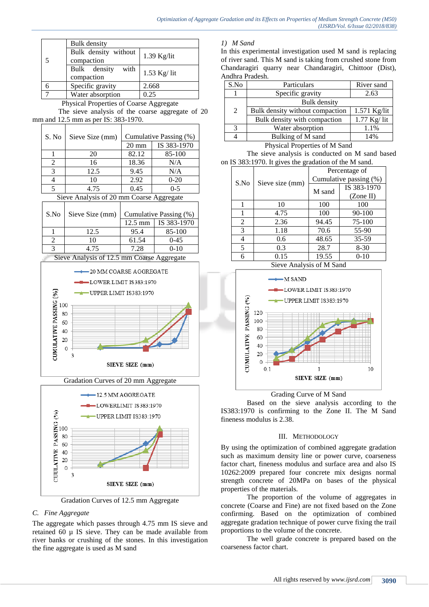

Gradation Curves of 12.5 mm Aggregate

# *C. Fine Aggregate*

The aggregate which passes through 4.75 mm IS sieve and retained 60 µ IS sieve. They can be made available from river banks or crushing of the stones. In this investigation the fine aggregate is used as M sand

# *1) M Sand*

In this experimental investigation used M sand is replacing of river sand. This M sand is taking from crushed stone from Chandaragiri quarry near Chandaragiri, Chittoor (Dist), Andhra Pradesh.

| S.No | Particulars                     | River sand    |
|------|---------------------------------|---------------|
|      | Specific gravity                | 2.63          |
|      | <b>Bulk</b> density             |               |
| 2    | Bulk density without compaction | 1.571 Kg/lit  |
|      | Bulk density with compaction    | $1.77$ Kg/lit |
| 3    | Water absorption                | 1.1%          |
|      | Bulking of M sand               | 14%           |
|      | 0.162<br><b>DI</b>              |               |

Physical Properties of M Sand

The sieve analysis is conducted on M sand based on IS 383:1970. It gives the gradation of the M sand.

|      |                 | Percentage of          |             |  |  |  |
|------|-----------------|------------------------|-------------|--|--|--|
| S.No | Sieve size (mm) | Cumulative passing (%) |             |  |  |  |
|      |                 | M sand                 | IS 383-1970 |  |  |  |
|      |                 |                        | (Zone II)   |  |  |  |
|      | 10              | 100                    | 100         |  |  |  |
|      | 4.75            | 100                    | 90-100      |  |  |  |
| 2    | 2.36            | 94.45                  | 75-100      |  |  |  |
| 3    | 1.18            | 70.6                   | 55-90       |  |  |  |
| 4    | 0.6             | 48.65                  | 35-59       |  |  |  |
| 5    | 0.3             | 28.7                   | $8-30$      |  |  |  |
|      | 0.15            | 19.55                  | $0 - 10$    |  |  |  |

Sieve Analysis of M Sand



Grading Curve of M Sand

Based on the sieve analysis according to the IS383:1970 is confirming to the Zone II. The M Sand fineness modulus is 2.38.

## III. METHODOLOGY

By using the optimization of combined aggregate gradation such as maximum density line or power curve, coarseness factor chart, fineness modulus and surface area and also IS 10262:2009 prepared four concrete mix designs normal strength concrete of 20MPa on bases of the physical properties of the materials.

The proportion of the volume of aggregates in concrete (Coarse and Fine) are not fixed based on the Zone confirming. Based on the optimization of combined aggregate gradation technique of power curve fixing the trail proportions to the volume of the concrete.

The well grade concrete is prepared based on the coarseness factor chart.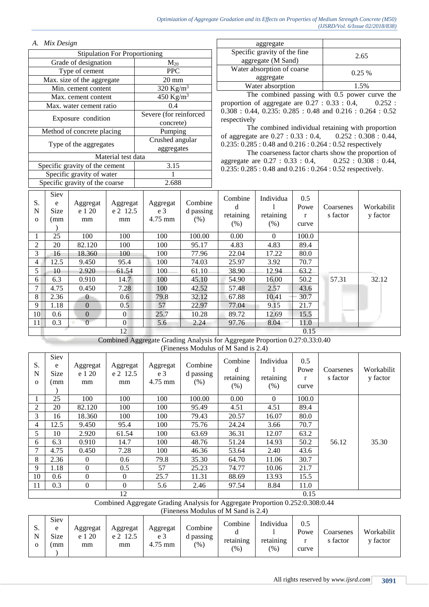# *A. Mix Design*

|    | <b>Stipulation For Proportioning</b> |                                |                    |                                    |                       |  |  |  |  |  |  |  |
|----|--------------------------------------|--------------------------------|--------------------|------------------------------------|-----------------------|--|--|--|--|--|--|--|
|    |                                      | Grade of designation           |                    |                                    | $M_{20}$              |  |  |  |  |  |  |  |
|    |                                      | Type of cement                 |                    | <b>PPC</b>                         |                       |  |  |  |  |  |  |  |
|    |                                      | Max. size of the aggregate     |                    | $20 \text{ mm}$                    |                       |  |  |  |  |  |  |  |
|    |                                      | Min. cement content            |                    |                                    | 320 Kg/m <sup>3</sup> |  |  |  |  |  |  |  |
|    |                                      | Max. cement content            |                    | $\overline{450}$ Kg/m <sup>3</sup> |                       |  |  |  |  |  |  |  |
|    |                                      | Max. water cement ratio        |                    | 0.4                                |                       |  |  |  |  |  |  |  |
|    |                                      |                                |                    | Severe (for reinforced             |                       |  |  |  |  |  |  |  |
|    |                                      | Exposure condition             |                    | concrete)                          |                       |  |  |  |  |  |  |  |
|    |                                      | Method of concrete placing     |                    | Pumping                            |                       |  |  |  |  |  |  |  |
|    |                                      | Type of the aggregates         |                    | Crushed angular                    |                       |  |  |  |  |  |  |  |
|    |                                      |                                |                    | aggregates                         |                       |  |  |  |  |  |  |  |
|    |                                      |                                | Material test data |                                    |                       |  |  |  |  |  |  |  |
|    |                                      | Specific gravity of the cement |                    | 3.15                               |                       |  |  |  |  |  |  |  |
|    |                                      | Specific gravity of water      |                    |                                    |                       |  |  |  |  |  |  |  |
|    |                                      | Specific gravity of the coarse | 2.688              |                                    |                       |  |  |  |  |  |  |  |
|    | Siev                                 |                                |                    |                                    |                       |  |  |  |  |  |  |  |
| S. | e                                    | Aggregat                       | Aggregat           | Combine<br>Aggregat                |                       |  |  |  |  |  |  |  |

| aggregate                    |          |  |  |
|------------------------------|----------|--|--|
| Specific gravity of the fine | 2.65     |  |  |
| aggregate (M Sand)           |          |  |  |
| Water absorption of coarse   | $0.25\%$ |  |  |
| aggregate                    |          |  |  |
| Water absorption             | 1.5%     |  |  |

The combined passing with 0.5 power curve the proportion of aggregate are 0.27 : 0.33 : 0.4, 0.252 : 0.308 : 0.44, 0.235: 0.285 : 0.48 and 0.216 : 0.264 : 0.52 respectively

The combined individual retaining with proportion of aggregate are 0.27 : 0.33 : 0.4, 0.252 : 0.308 : 0.44, 0.235: 0.285 : 0.48 and 0.216 : 0.264 : 0.52 respectively

The coarseness factor charts show the proportion of aggregate are 0.27 : 0.33 : 0.4, 0.252 : 0.308 : 0.44, 0.235: 0.285 : 0.48 and 0.216 : 0.264 : 0.52 respectively.

| S.<br>N<br>$\mathbf{O}$ | Siev<br>e<br>Size<br>mm | Aggregat<br>e 1 20<br>mm | Aggregat<br>e 2 12.5<br>mm | Aggregat<br>e <sub>3</sub><br>$4.75$ mm | Combine<br>d passing<br>(% ) | Combine<br>d<br>retaining<br>(% ) | Individua<br>retaining<br>(% ) | 0.5<br>Powe<br>r<br>curve | Coarsenes<br>s factor | Workabilit<br>y factor |
|-------------------------|-------------------------|--------------------------|----------------------------|-----------------------------------------|------------------------------|-----------------------------------|--------------------------------|---------------------------|-----------------------|------------------------|
|                         | 25                      | 100                      | 100                        | 100                                     | 100.00                       | 0.00                              | $\Omega$                       | 100.0                     |                       |                        |
| 2                       | 20                      | 82.120                   | 100                        | 100                                     | 95.17                        | 4.83                              | 4.83                           | 89.4                      |                       |                        |
| 3                       | 16                      | 18.360                   | 100                        | 100                                     | 77.96                        | 22.04                             | 17.22                          | 80.0                      |                       |                        |
| 4                       | 12.5                    | 9.450                    | 95.4                       | 100                                     | 74.03                        | 25.97                             | 3.92                           | 70.7                      |                       |                        |
| 5                       | 10                      | 2.920                    | 61.54                      | 100                                     | 61.10                        | 38.90                             | 12.94                          | 63.2                      |                       |                        |
| 6                       | 6.3                     | 0.910                    | 14.7                       | 100                                     | 45.10                        | 54.90                             | 16.00                          | 50.2                      | 57.31                 | 32.12                  |
|                         | 4.75                    | 0.450                    | 7.28                       | 100                                     | 42.52                        | 57.48                             | 2.57                           | 43.6                      |                       |                        |
| 8                       | 2.36                    | $\Omega$                 | 0.6                        | 79.8                                    | 32.12                        | 67.88                             | 10.41                          | 30.7                      |                       |                        |
| 9                       | 1.18                    | $\Omega$                 | 0.5                        | 57                                      | 22.97                        | 77.04                             | 9.15                           | 21.7                      |                       |                        |
| 10                      | 0.6                     | $\Omega$                 | $\overline{0}$             | 25.7                                    | 10.28                        | 89.72                             | 12.69                          | 15.5                      |                       |                        |
| 11                      | 0.3                     | $\theta$                 | $\overline{0}$             | 5.6                                     | 2.24                         | 97.76                             | 8.04                           | 11.0                      |                       |                        |
|                         |                         |                          | 12                         |                                         |                              |                                   |                                | 0.15                      |                       |                        |

Combined Aggregate Grading Analysis for Aggregate Proportion 0.27:0.33:0.40 (Fineness Modulus of M Sand is 2.4)

| S.<br>N<br>$\mathbf{O}$ | Siev<br>e<br><b>Size</b><br>(mm | Aggregat<br>e 1 20<br>mm | Aggregat<br>e 2 12.5<br>mm | Aggregat<br>e <sub>3</sub><br>$4.75$ mm | Combine<br>d passing<br>(% ) | Combine<br>d<br>retaining<br>(% ) | Individua<br>retaining<br>(% ) | 0.5<br>Powe<br>r<br>curve | Coarsenes<br>s factor | Workabilit<br>y factor |
|-------------------------|---------------------------------|--------------------------|----------------------------|-----------------------------------------|------------------------------|-----------------------------------|--------------------------------|---------------------------|-----------------------|------------------------|
|                         | 25                              | 100                      | 100                        | 100                                     | 100.00                       | 0.00                              | $\theta$                       | 100.0                     |                       |                        |
| 2                       | 20                              | 82.120                   | 100                        | 100                                     | 95.49                        | 4.51                              | 4.51                           | 89.4                      |                       |                        |
| 3                       | 16                              | 18.360                   | 100                        | 100                                     | 79.43                        | 20.57                             | 16.07                          | 80.0                      |                       |                        |
| 4                       | 12.5                            | 9.450                    | 95.4                       | 100                                     | 75.76                        | 24.24                             | 3.66                           | 70.7                      |                       |                        |
| 5                       | 10                              | 2.920                    | 61.54                      | 100                                     | 63.69                        | 36.31                             | 12.07                          | 63.2                      |                       |                        |
| 6                       | 6.3                             | 0.910                    | 14.7                       | 100                                     | 48.76                        | 51.24                             | 14.93                          | 50.2                      | 56.12                 | 35.30                  |
| 7                       | 4.75                            | 0.450                    | 7.28                       | 100                                     | 46.36                        | 53.64                             | 2.40                           | 43.6                      |                       |                        |
| 8                       | 2.36                            | $\mathbf{0}$             | 0.6                        | 79.8                                    | 35.30                        | 64.70                             | 11.06                          | 30.7                      |                       |                        |
| 9                       | 1.18                            | $\theta$                 | 0.5                        | 57                                      | 25.23                        | 74.77                             | 10.06                          | 21.7                      |                       |                        |
| 10                      | 0.6                             | $\Omega$                 | $\Omega$                   | 25.7                                    | 11.31                        | 88.69                             | 13.93                          | 15.5                      |                       |                        |
| 11                      | 0.3                             | $\theta$                 | $\Omega$                   | 5.6                                     | 2.46                         | 97.54                             | 8.84                           | 11.0                      |                       |                        |
|                         |                                 |                          | 12                         |                                         |                              |                                   |                                | 0.15                      |                       |                        |

Combined Aggregate Grading Analysis for Aggregate Proportion 0.252:0.308:0.44

(Fineness Modulus of M Sand is 2.4)

| IJ. | Siev<br>e<br>Size<br>mm | Aggregat<br>- 20<br>e 1<br>mm | Aggregat<br>e <sub>2</sub><br>12.5<br>mm | Aggregat<br>e <sub>3</sub><br>$4.75$ mm | Combine<br>d passing<br>$(\%)$ | Combine<br>retaining<br>$\frac{9}{6}$ | Individua<br>retaining<br>(96) | 0.5<br>Powe<br>curve | Coarsenes<br>s factor | Workabilit<br>v factor |
|-----|-------------------------|-------------------------------|------------------------------------------|-----------------------------------------|--------------------------------|---------------------------------------|--------------------------------|----------------------|-----------------------|------------------------|
|-----|-------------------------|-------------------------------|------------------------------------------|-----------------------------------------|--------------------------------|---------------------------------------|--------------------------------|----------------------|-----------------------|------------------------|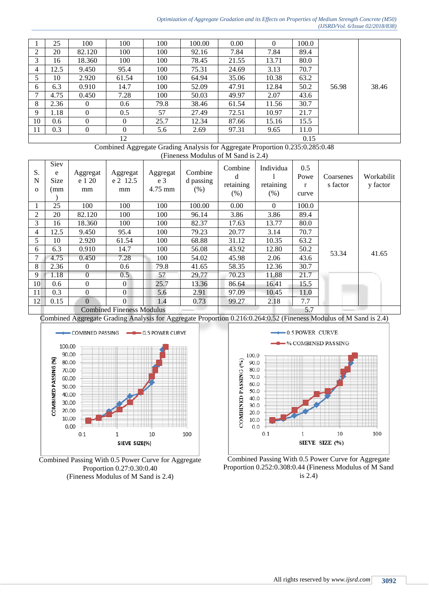#### *Optimization of Aggregate Gradation and its Effects on Properties of Medium Strength Concrete (M50) (IJSRD/Vol. 6/Issue 02/2018/838)*

|    | 25   | 100      | 100      | 100  | 100.00 | 0.00  |       | 100.0 |       |       |
|----|------|----------|----------|------|--------|-------|-------|-------|-------|-------|
| ∍  | 20   | 82.120   | 100      | 100  | 92.16  | 7.84  | 7.84  | 89.4  |       |       |
| 3  | 16   | 18.360   | 100      | 100  | 78.45  | 21.55 | 13.71 | 80.0  |       |       |
| 4  | 12.5 | 9.450    | 95.4     | 100  | 75.31  | 24.69 | 3.13  | 70.7  |       |       |
|    | 10   | 2.920    | 61.54    | 100  | 64.94  | 35.06 | 10.38 | 63.2  |       |       |
| 6  | 6.3  | 0.910    | 14.7     | 100  | 52.09  | 47.91 | 12.84 | 50.2  | 56.98 | 38.46 |
|    | 4.75 | 0.450    | 7.28     | 100  | 50.03  | 49.97 | 2.07  | 43.6  |       |       |
| 8  | 2.36 | $\theta$ | 0.6      | 79.8 | 38.46  | 61.54 | 11.56 | 30.7  |       |       |
| 9  | l.18 | $\Omega$ | 0.5      | 57   | 27.49  | 72.51 | 10.97 | 21.7  |       |       |
| 10 | 0.6  | $\Omega$ | $\Omega$ | 25.7 | 12.34  | 87.66 | 15.16 | 15.5  |       |       |
| 11 | 0.3  | $\Omega$ | $\Omega$ | 5.6  | 2.69   | 97.31 | 9.65  | 11.0  |       |       |
|    |      |          | 12       |      |        |       | 0.15  |       |       |       |

Combined Aggregate Grading Analysis for Aggregate Proportion 0.235:0.285:0.48 (Fineness Modulus of M Sand is 2.4)

| S.<br>N<br>$\Omega$ | Siev<br>e<br>Size<br>(mm | Aggregat<br>e 1 20<br>mm | Aggregat<br>e 2 12.5<br>mm       | Aggregat<br>e <sub>3</sub><br>4.75 mm | Combine<br>d passing<br>(% ) | Combine<br>d<br>retaining<br>(% ) | Individua<br>retaining<br>$(\% )$ | 0.5<br>Powe<br>r<br>curve | Coarsenes<br>s factor | Workabilit<br>y factor |
|---------------------|--------------------------|--------------------------|----------------------------------|---------------------------------------|------------------------------|-----------------------------------|-----------------------------------|---------------------------|-----------------------|------------------------|
|                     | 25                       | 100                      | 100                              | 100                                   | 100.00                       | 0.00                              | $\Omega$                          | 100.0                     |                       |                        |
| $\overline{c}$      | 20                       | 82.120                   | 100                              | 100                                   | 96.14                        | 3.86                              | 3.86                              | 89.4                      |                       |                        |
| 3                   | 16                       | 18.360                   | 100                              | 100                                   | 82.37                        | 17.63                             | 13.77                             | 80.0                      |                       |                        |
| 4                   | 12.5                     | 9.450                    | 95.4                             | 100                                   | 79.23                        | 20.77                             | 3.14                              | 70.7                      |                       |                        |
| 5.                  | 10                       | 2.920                    | 61.54                            | 100                                   | 68.88                        | 31.12                             | 10.35                             | 63.2                      |                       |                        |
| 6                   | 6.3                      | 0.910                    | 14.7                             | 100                                   | 56.08                        | 43.92                             | 12.80                             | 50.2                      | 53.34                 | 41.65                  |
| 7                   | 4.75                     | 0.450                    | 7.28                             | 100                                   | 54.02                        | 45.98                             | 2.06                              | 43.6                      |                       |                        |
| 8                   | 2.36                     | $\theta$                 | 0.6                              | 79.8                                  | 41.65                        | 58.35                             | 12.36                             | 30.7                      |                       |                        |
| 9                   | 1.18                     | $\overline{0}$           | 0.5                              | 57                                    | 29.77                        | 70.23                             | 11.88                             | 21.7                      |                       |                        |
| 10                  | 0.6                      | $\theta$                 | $\overline{0}$                   | 25.7                                  | 13.36                        | 86.64                             | 16.41                             | 15.5                      |                       |                        |
| 11                  | 0.3                      | $\theta$                 | $\theta$                         | 5.6                                   | 2.91                         | 97.09                             | 10.45                             | 11.0                      |                       |                        |
| 12                  | 0.15                     | $\Omega$                 | $\Omega$                         | 1.4                                   | 0.73                         | 99.27                             | 2.18                              | 7.7                       |                       |                        |
|                     |                          |                          | <b>Combined Fineness Modulus</b> |                                       |                              |                                   |                                   | 5.7                       |                       |                        |

Combined Aggregate Grading Analysis for Aggregate Proportion 0.216:0.264:0.52 (Fineness Modulus of M Sand is 2.4)



Combined Passing With 0.5 Power Curve for Aggregate Proportion 0.27:0.30:0.40 (Fineness Modulus of M Sand is 2.4)



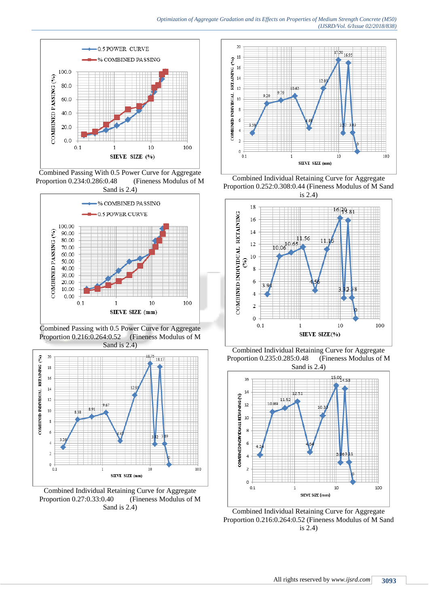

Combined Passing With 0.5 Power Curve for Aggregate Proportion 0.234:0.286:0.48 (Fineness Modulus of M Sand is 2.4)



Combined Passing with 0.5 Power Curve for Aggregate Proportion 0.216:0.264:0.52 (Fineness Modulus of M Sand is 2.4)



Combined Individual Retaining Curve for Aggregate Proportion 0.27:0.33:0.40 (Fineness Modulus of M Sand is 2.4)



Combined Individual Retaining Curve for Aggregate Proportion 0.252:0.308:0.44 (Fineness Modulus of M Sand



Combined Individual Retaining Curve for Aggregate Proportion 0.235:0.285:0.48 (Fineness Modulus of M Sand is 2.4)



Combined Individual Retaining Curve for Aggregate Proportion 0.216:0.264:0.52 (Fineness Modulus of M Sand is 2.4)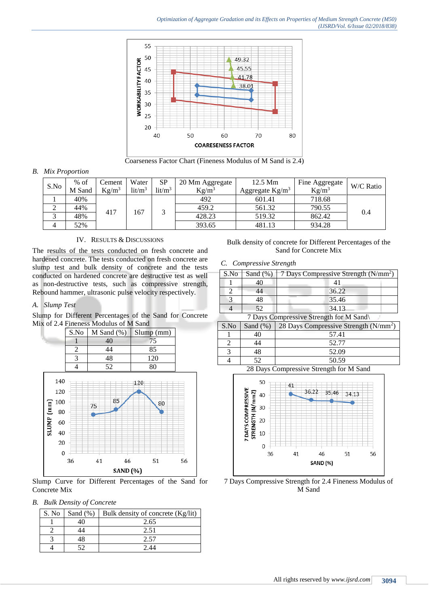

Coarseness Factor Chart (Fineness Modulus of M Sand is 2.4)

#### *B. Mix Proportion*

| S.No | $%$ of | Cement   | Water              | <b>SP</b>          | 20 Mm Aggregate | 12.5 Mm            | Fine Aggregate | W/C Ratio |  |
|------|--------|----------|--------------------|--------------------|-----------------|--------------------|----------------|-----------|--|
|      | M Sand | $Kg/m^3$ | lit/m <sup>3</sup> | lit/m <sup>3</sup> | $Kg/m^3$        | Aggregate $Kg/m^3$ | $Kg/m^3$       |           |  |
|      | 40%    | 417      |                    | ⌒                  | 492             | 601.41             | 718.68         |           |  |
|      | 44%    |          | 167                |                    | 459.2           | 561.32             | 790.55         | 0.4       |  |
|      | 48%    |          |                    |                    | 428.23          | 519.32             | 862.42         |           |  |
|      | 52%    |          |                    |                    | 393.65          | 481.13             | 934.28         |           |  |

#### IV. RESULTS & DISCUSSIONS

The results of the tests conducted on fresh concrete and hardened concrete. The tests conducted on fresh concrete are slump test and bulk density of concrete and the tests conducted on hardened concrete are destructive test as well as non-destructive tests, such as compressive strength, Rebound hammer, ultrasonic pulse velocity respectively.

## *A. Slump Test*

Slump for Different Percentages of the Sand for Concrete Mix of 2.4 Fineness Modulus of M Sand



Slump Curve for Different Percentages of the Sand for Concrete Mix

# *B. Bulk Density of Concrete*

| S. No | Sand $(\%)$ | Bulk density of concrete (Kg/lit) |
|-------|-------------|-----------------------------------|
|       |             | 2.65                              |
|       |             | 2.51                              |
|       |             |                                   |
|       |             |                                   |

Bulk density of concrete for Different Percentages of the Sand for Concrete Mix

#### *C. Compressive Strength*

| S.No | Sand $(\%)$ | 7 Days Compressive Strength $(N/mm2)$ |
|------|-------------|---------------------------------------|
|      |             |                                       |
|      |             | 36.22                                 |
|      |             | 35.46                                 |
|      |             | 34.13                                 |

7 Days Compressive Strength for M Sand\

| S.No | Sand $(\%)$ | 28 Days Compressive Strength (N/mm <sup>2</sup> ) |
|------|-------------|---------------------------------------------------|
|      |             | 57.41                                             |
|      | 14          | 52.77                                             |
|      | 48          | 52.09                                             |
|      | こつ          | 50.59                                             |

28 Days Compressive Strength for M Sand



7 Days Compressive Strength for 2.4 Fineness Modulus of M Sand